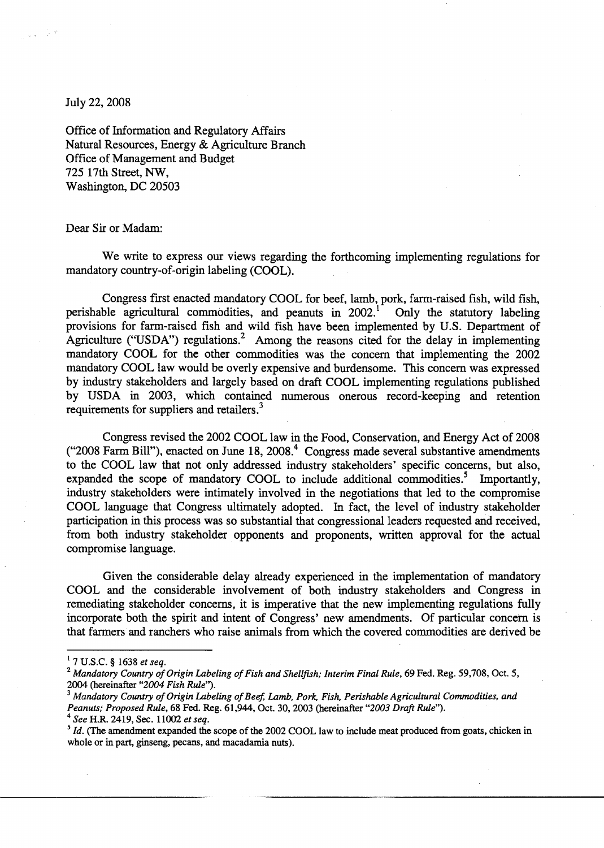July 22, 2008

- 23  $\sim$   $\sim$ 

> Office of Information and Regulatory Affairs Natural Resources, Energy & Agriculture Branch Office of Management and Budget 725 17th Street, NW, Washington, DC 20503

## Dear Sir or Madam:

We write to express our views regarding the forthcoming implementing regulations for mandatory country-of-origin labeling (COOL).

Congress first enacted mandatory COOL for beef, lamb, pork, farm-raised fish, wild fish, ble agricultural commodities, and peanuts in  $2002<sup>1</sup>$  Only the statutory labeling perishable agricultural commodities, and peanuts in  $2002$ .<sup>1</sup> provisions for farm-raised fish and wild fish have been implemented by U.S. Department of Agriculture ("USDA") regulations.<sup>2</sup> Among the reasons cited for the delay in implementing mandatory COOL for the other commodities was the concern that implementing the 2002 mandatory COOL law would be overly expensive and burdensome. This concern was expressed by industry stakeholders and largely based on draft COOL implementing regulations published by USDA in 2003, which contained numerous onerous record-keeping and retention requirements for suppliers and retailers.<sup>3</sup>

Congress revised the 2002 COOL law in the Food, Conservation, and Energy Act of 2008 ("2008 Farm Bill"), enacted on June  $18$ , 2008.<sup>4</sup> Congress made several substantive amendments to the COOL law that not only addressed industry stakeholders' specific concerns, but also, expanded the scope of mandatory COOL to include additional commodities.<sup>5</sup> Importantly, industry stakeholders were intimately involved in the negotiations that led to the compromise COOL language that Congress ultimately adopted. In fact, the level of industry stakeholder participation in this process was so substantial that congressional leaders requested and received, from both industry stakeholder opponents and proponents, written approval for the actual compromise language.

Given the considerable delay already experienced in the implementation of mandatory COOL and the considerable involvement of both industry stakeholders and Congress in remediating stakeholder concerns, it is imperative that the new implementing regulations fully incorporate both the spirit and intent of Congress' new amendments. Of particular concern is that farmers and ranchers who raise animals from which the covered commodities are derived be

- <sup>3</sup>*Mandatory Country ofOrigin Labeling ofBeef, Lamb, Pork, Fish, Perishable Agricultural Commodities, and Peanuts; Proposed Rule,* 68 Fed. Reg. 61,944, Oct. 30,2003 (hereinafter *"2003 Draft Rule"),*
- 4 *See* H.R. 2419, Sec. 11002 *et seq.*

<sup>1 7</sup> U.S.C. § 1638 *et seq.* 

<sup>&</sup>lt;sup>2</sup> Mandatory Country of Origin Labeling of Fish and Shellfish; Interim Final Rule, 69 Fed. Reg. 59,708, Oct. 5, 2004 (hereinafter *"2004 Fish Rule").* 

<sup>&</sup>lt;sup>5</sup> *Id.* (The amendment expanded the scope of the 2002 COOL law to include meat produced from goats, chicken in whole or in part, ginseng, pecans, and macadamia nuts).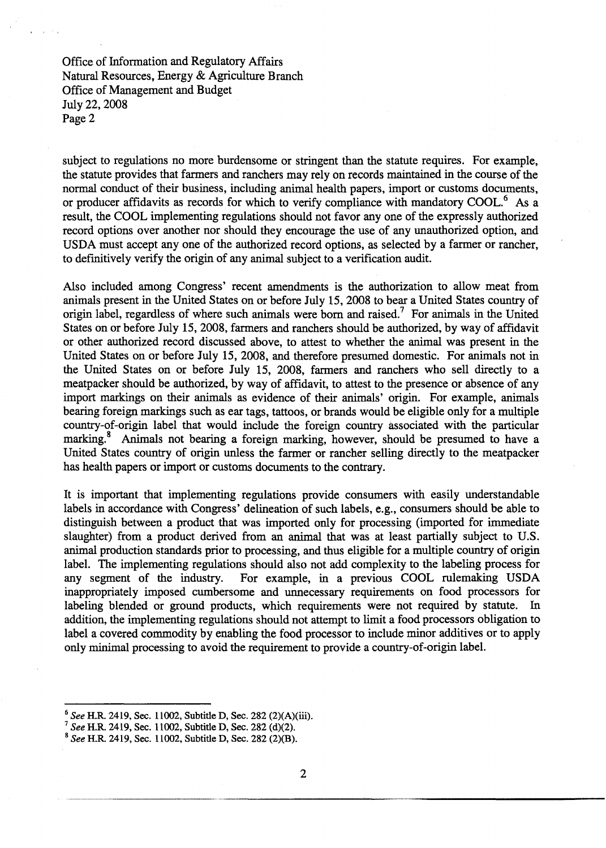Office of Information and Regulatory Affairs Natural Resources, Energy & Agriculture Branch Office of Management and Budget July 22, 2008 Page 2

subject to regulations no more burdensome or stringent than the statute requires. For example, the statute provides that fanners and ranchers may rely on records maintained in the course of the normal conduct of their business, including animal health papers, import or customs documents, or producer affidavits as records for which to verify compliance with mandatory COOL.<sup>6</sup> As a result, the COOL implementing regulations should not favor anyone of the expressly authorized record options over another nor should they encourage the use of any unauthorized option, and USDA must accept anyone of the authorized record options, as selected by a fanner or rancher, to definitively verify the origin of any animal subject to a verification audit.

Also included among Congress' recent amendments is the authorization to allow meat from animals present in the United States on or before July 15, 2008 to bear a United States country of origin label, regardless of where such animals were born and raised.? For animals in the United States on or before July 15,2008, fanners and ranchers should be authorized, by way of affidavit or other authorized record discussed above, to attest to whether the animal was present in the United States on or before July 15,2008, and therefore presumed domestic. For animals not in the United States on or before July 15, 2008, fanners and ranchers who sell directly to a meatpacker should be authorized, by way of affidavit, to attest to the presence or absence of any import markings on their animals as evidence of their animals' origin. For example, animals bearing foreign markings such as ear tags, tattoos, or brands would be eligible only for a multiple country-of-origin label that would include the foreign country associated with the particular marking.<sup>8</sup> Animals not bearing a foreign marking, however, should be presumed to have a United States country of origin unless the fanner or rancher selling directly to the meatpacker has health papers or import or customs documents to the contrary.

It is important that implementing regulations provide consumers with easily understandable labels in accordance with Congress' delineation of such labels, e.g., consumers should be able to distinguish between a product that was imported only for processing (imported for immediate slaughter) from a product derived from an animal that was at least partially subject to U.S. animal production standards prior to processing, and thus eligible for a multiple country of origin label. The implementing regulations should also not add complexity to the labeling process for any segment of the industry. For example, in a previous COOL rulemaking USDA inappropriately imposed cumbersome and unnecessary requirements on food processors for labeling blended or ground products, which requirements were not required by statute. In addition, the implementing regulations should not attempt to limit a food processors obligation to label a covered commodity by enabling the food processor to include minor additives or to apply only minimal processing to avoid the requirement to provide a country-of-origin label.

---------------

<sup>6</sup>*See* H.R. 2419, Sec. 11002, Subtitle D, Sec. 282 (2)(A)(iii).

*<sup>7</sup> See* H.R. 2419, Sec. 11002, Subtitle D, Sec. 282 (d)(2).

<sup>8</sup>*See* H.R. 2419, Sec. 11002, Subtitle D, Sec. 282 (2)(B).